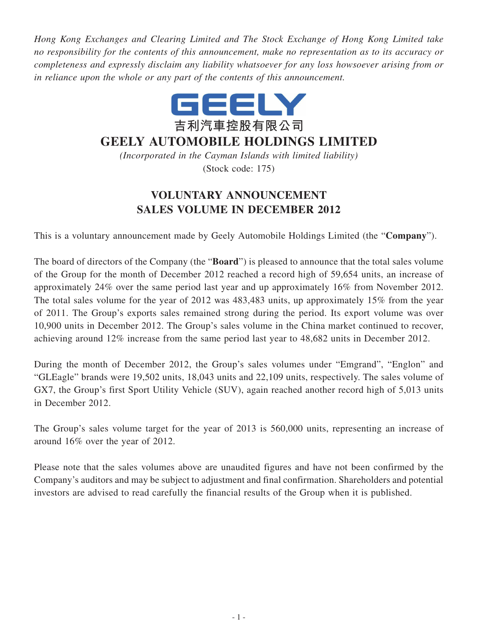*Hong Kong Exchanges and Clearing Limited and The Stock Exchange of Hong Kong Limited take no responsibility for the contents of this announcement, make no representation as to its accuracy or completeness and expressly disclaim any liability whatsoever for any loss howsoever arising from or in reliance upon the whole or any part of the contents of this announcement.*



## **GEELY AUTOMOBILE HOLDINGS LIMITED**

*(Incorporated in the Cayman Islands with limited liability)* (Stock code: 175)

## **VOLUNTARY ANNOUNCEMENT SALES VOLUME IN DECEMBER 2012**

This is a voluntary announcement made by Geely Automobile Holdings Limited (the "**Company**").

The board of directors of the Company (the "**Board**") is pleased to announce that the total sales volume of the Group for the month of December 2012 reached a record high of 59,654 units, an increase of approximately 24% over the same period last year and up approximately 16% from November 2012. The total sales volume for the year of 2012 was 483,483 units, up approximately 15% from the year of 2011. The Group's exports sales remained strong during the period. Its export volume was over 10,900 units in December 2012. The Group's sales volume in the China market continued to recover, achieving around 12% increase from the same period last year to 48,682 units in December 2012.

During the month of December 2012, the Group's sales volumes under "Emgrand", "Englon" and "GLEagle" brands were 19,502 units, 18,043 units and 22,109 units, respectively. The sales volume of GX7, the Group's first Sport Utility Vehicle (SUV), again reached another record high of 5,013 units in December 2012.

The Group's sales volume target for the year of 2013 is 560,000 units, representing an increase of around 16% over the year of 2012.

Please note that the sales volumes above are unaudited figures and have not been confirmed by the Company's auditors and may be subject to adjustment and final confirmation. Shareholders and potential investors are advised to read carefully the financial results of the Group when it is published.